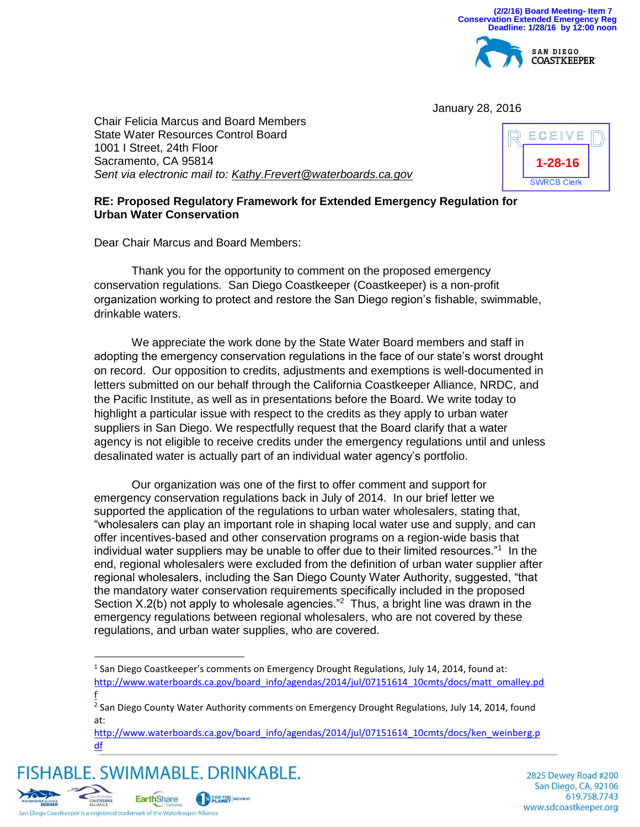

January 28, 2016

Chair Felicia Marcus and Board Members State Water Resources Control Board 1001 I Street, 24th Floor Sacramento, CA 95814 *Sent via electronic mail to: [Kathy.Frevert@waterboards.ca.gov](mailto:Kathy.Frevert@waterboards.ca.gov)*



## **RE: Proposed Regulatory Framework for Extended Emergency Regulation for Urban Water Conservation**

Dear Chair Marcus and Board Members:

Thank you for the opportunity to comment on the proposed emergency conservation regulations. San Diego Coastkeeper (Coastkeeper) is a non-profit organization working to protect and restore the San Diego region's fishable, swimmable, drinkable waters.

We appreciate the work done by the State Water Board members and staff in adopting the emergency conservation regulations in the face of our state's worst drought on record. Our opposition to credits, adjustments and exemptions is well-documented in letters submitted on our behalf through the California Coastkeeper Alliance, NRDC, and the Pacific Institute, as well as in presentations before the Board. We write today to highlight a particular issue with respect to the credits as they apply to urban water suppliers in San Diego. We respectfully request that the Board clarify that a water agency is not eligible to receive credits under the emergency regulations until and unless desalinated water is actually part of an individual water agency's portfolio.

Our organization was one of the first to offer comment and support for emergency conservation regulations back in July of 2014. In our brief letter we supported the application of the regulations to urban water wholesalers, stating that, "wholesalers can play an important role in shaping local water use and supply, and can offer incentives-based and other conservation programs on a region-wide basis that individual water suppliers may be unable to offer due to their limited resources."<sup>1</sup> In the end, regional wholesalers were excluded from the definition of urban water supplier after regional wholesalers, including the San Diego County Water Authority, suggested, "that the mandatory water conservation requirements specifically included in the proposed Section X.2(b) not apply to wholesale agencies."<sup>2</sup> Thus, a bright line was drawn in the emergency regulations between regional wholesalers, who are not covered by these regulations, and urban water supplies, who are covered.

FISHABLE, SWIMMABLE, DRINKABLE, **EarthShare EOR THE RECIPIENT** 

2825 Dewey Road #200 San Diego, CA, 92106 619.758.7743 www.sdcoastkeeper.org



 $\overline{a}$ 

<sup>&</sup>lt;sup>1</sup> San Diego Coastkeeper's comments on Emergency Drought Regulations, July 14, 2014, found at: [http://www.waterboards.ca.gov/board\\_info/agendas/2014/jul/07151614\\_10cmts/docs/matt\\_omalley.pd](http://www.waterboards.ca.gov/board_info/agendas/2014/jul/07151614_10cmts/docs/matt_omalley.pdf) [f](http://www.waterboards.ca.gov/board_info/agendas/2014/jul/07151614_10cmts/docs/matt_omalley.pdf)

<sup>&</sup>lt;sup>2</sup> San Diego County Water Authority comments on Emergency Drought Regulations, July 14, 2014, found at:

[http://www.waterboards.ca.gov/board\\_info/agendas/2014/jul/07151614\\_10cmts/docs/ken\\_weinberg.p](http://www.waterboards.ca.gov/board_info/agendas/2014/jul/07151614_10cmts/docs/ken_weinberg.pdf) [df](http://www.waterboards.ca.gov/board_info/agendas/2014/jul/07151614_10cmts/docs/ken_weinberg.pdf)